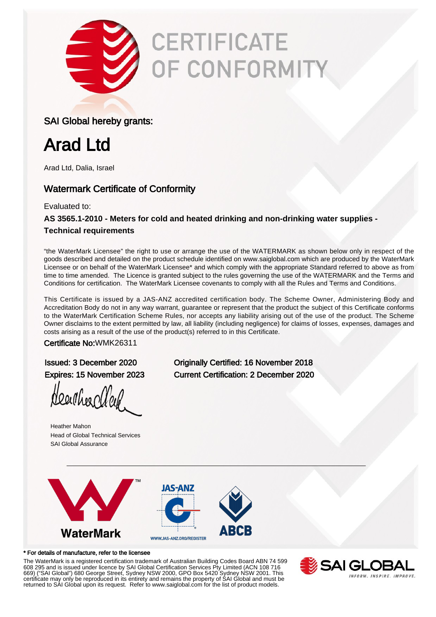

# **CERTIFICATE** OF CONFORMITY

### SAI Global hereby grants:

# Arad Ltd

Arad Ltd, Dalia, Israel

### Watermark Certificate of Conformity

Evaluated to:

**AS 3565.1-2010 - Meters for cold and heated drinking and non-drinking water supplies - Technical requirements**

"the WaterMark Licensee" the right to use or arrange the use of the WATERMARK as shown below only in respect of the goods described and detailed on the product schedule identified on www.saiglobal.com which are produced by the WaterMark Licensee or on behalf of the WaterMark Licensee\* and which comply with the appropriate Standard referred to above as from time to time amended. The Licence is granted subject to the rules governing the use of the WATERMARK and the Terms and Conditions for certification. The WaterMark Licensee covenants to comply with all the Rules and Terms and Conditions.

This Certificate is issued by a JAS-ANZ accredited certification body. The Scheme Owner, Administering Body and Accreditation Body do not in any way warrant, guarantee or represent that the product the subject of this Certificate conforms to the WaterMark Certification Scheme Rules, nor accepts any liability arising out of the use of the product. The Scheme Owner disclaims to the extent permitted by law, all liability (including negligence) for claims of losses, expenses, damages and costs arising as a result of the use of the product(s) referred to in this Certificate.

Certificate No:WMK26311

Hearther Wey

Heather Mahon Head of Global Technical Services SAI Global Assurance

Issued: 3 December 2020 Originally Certified: 16 November 2018 Expires: 15 November 2023 Current Certification: 2 December 2020



### \* For details of manufacture, refer to the licensee

The WaterMark is a registered certification trademark of Australian Building Codes Board ABN 74 599 608 295 and is issued under licence by SAI Global Certification Services Pty Limited (ACN 108 716 669) ("SAI Global") 680 George Street, Sydney NSW 2000, GPO Box 5420 Sydney NSW 2001. This certificate may only be reproduced in its entirety and remains the property of SAI Global and must be returned to SAI Global upon its request. Refer to www.saiglobal.com for the list of product models.

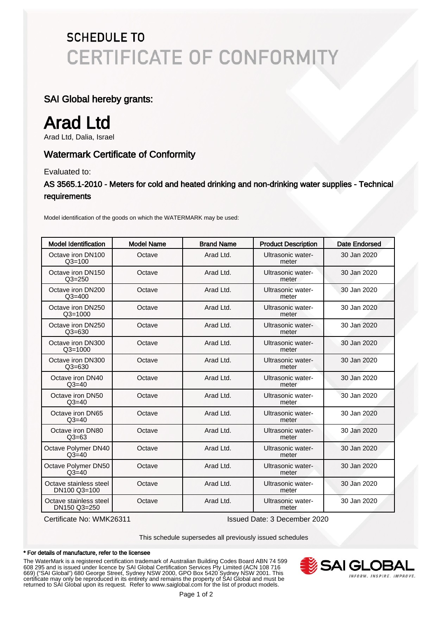# **SCHEDULE TO CERTIFICATE OF CONFORMITY**

### SAI Global hereby grants:

# Arad Ltd

Arad Ltd, Dalia, Israel

### Watermark Certificate of Conformity

Evaluated to:

AS 3565.1-2010 - Meters for cold and heated drinking and non-drinking water supplies - Technical requirements

Model identification of the goods on which the WATERMARK may be used:

| <b>Model Identification</b>            | <b>Model Name</b> | <b>Brand Name</b> | <b>Product Description</b> | Date Endorsed |
|----------------------------------------|-------------------|-------------------|----------------------------|---------------|
| Octave iron DN100<br>$Q3 = 100$        | Octave            | Arad Ltd.         | Ultrasonic water-<br>meter | 30 Jan 2020   |
| Octave iron DN150<br>$Q3 = 250$        | Octave            | Arad Ltd.         | Ultrasonic water-<br>meter | 30 Jan 2020   |
| Octave iron DN200<br>$Q3 = 400$        | Octave            | Arad Ltd.         | Ultrasonic water-<br>meter | 30 Jan 2020   |
| Octave iron DN250<br>$Q3 = 1000$       | Octave            | Arad Ltd.         | Ultrasonic water-<br>meter | 30 Jan 2020   |
| Octave iron DN250<br>$Q3 = 630$        | Octave            | Arad Ltd.         | Ultrasonic water-<br>meter | 30 Jan 2020   |
| Octave iron DN300<br>$Q3 = 1000$       | Octave            | Arad Ltd.         | Ultrasonic water-<br>meter | 30 Jan 2020   |
| Octave iron DN300<br>$Q3 = 630$        | Octave            | Arad Ltd.         | Ultrasonic water-<br>meter | 30 Jan 2020   |
| Octave iron DN40<br>$Q3 = 40$          | Octave            | Arad Ltd.         | Ultrasonic water-<br>meter | 30 Jan 2020   |
| Octave iron DN50<br>$Q3 = 40$          | Octave            | Arad Ltd.         | Ultrasonic water-<br>meter | 30 Jan 2020   |
| Octave iron DN65<br>$Q3 = 40$          | Octave            | Arad Ltd.         | Ultrasonic water-<br>meter | 30 Jan 2020   |
| Octave iron DN80<br>$Q3 = 63$          | Octave            | Arad Ltd.         | Ultrasonic water-<br>meter | 30 Jan 2020   |
| Octave Polymer DN40<br>$Q3 = 40$       | Octave            | Arad Ltd.         | Ultrasonic water-<br>meter | 30 Jan 2020   |
| Octave Polymer DN50<br>$Q3 = 40$       | Octave            | Arad Ltd.         | Ultrasonic water-<br>meter | 30 Jan 2020   |
| Octave stainless steel<br>DN100 Q3=100 | Octave            | Arad Ltd.         | Ultrasonic water-<br>meter | 30 Jan 2020   |
| Octave stainless steel<br>DN150 Q3=250 | Octave            | Arad Ltd.         | Ultrasonic water-<br>meter | 30 Jan 2020   |

Certificate No: WMK26311 Issued Date: 3 December 2020

This schedule supersedes all previously issued schedules

#### \* For details of manufacture, refer to the licensee

The WaterMark is a registered certification trademark of Australian Building Codes Board ABN 74 599 608 295 and is issued under licence by SAI Global Certification Services Pty Limited (ACN 108 716 669) ("SAI Global") 680 George Street, Sydney NSW 2000, GPO Box 5420 Sydney NSW 2001. This certificate may only be reproduced in its entirety and remains the property of SAI Global and must be returned to SAI Global upon its request. Refer to www.saiglobal.com for the list of product models.